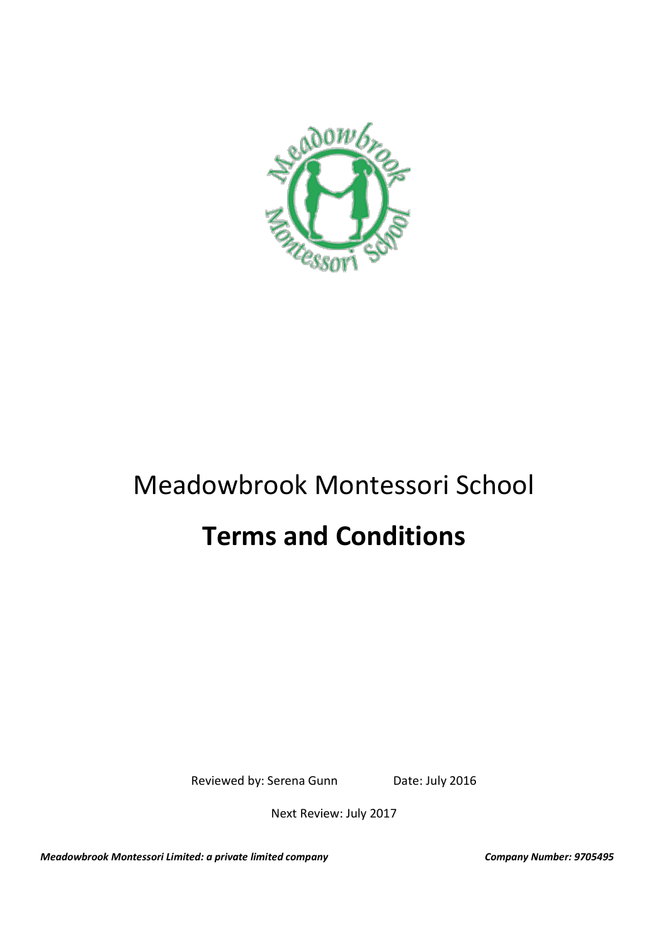

# Meadowbrook Montessori School

# **Terms and Conditions**

Reviewed by: Serena Gunn Date: July 2016

Next Review: July 2017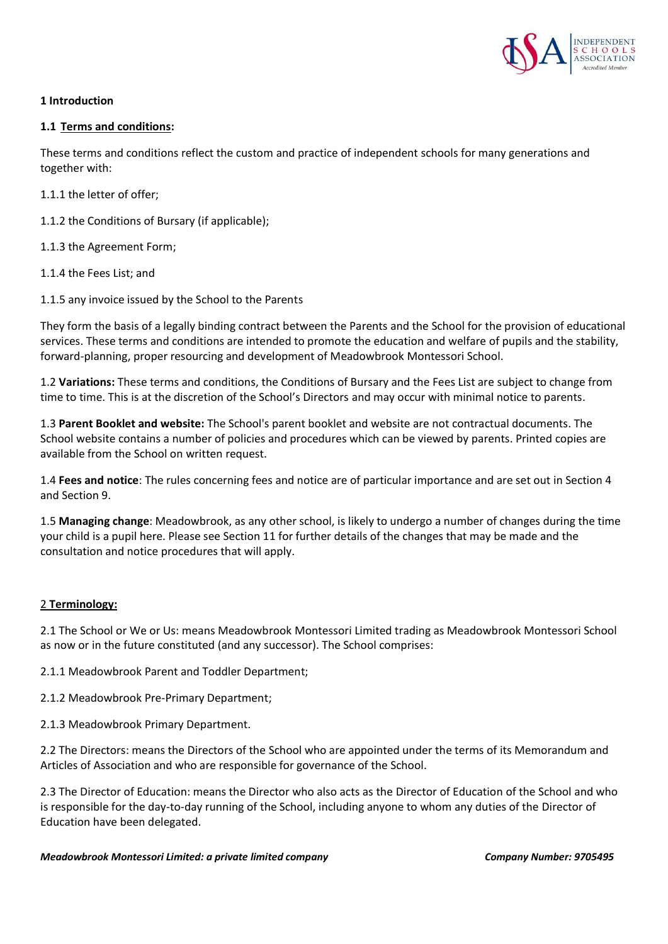

## **1 Introduction**

#### **1.1 Terms and conditions:**

These terms and conditions reflect the custom and practice of independent schools for many generations and together with:

1.1.1 the letter of offer;

- 1.1.2 the Conditions of Bursary (if applicable);
- 1.1.3 the Agreement Form;
- 1.1.4 the Fees List; and
- 1.1.5 any invoice issued by the School to the Parents

They form the basis of a legally binding contract between the Parents and the School for the provision of educational services. These terms and conditions are intended to promote the education and welfare of pupils and the stability, forward-planning, proper resourcing and development of Meadowbrook Montessori School.

1.2 **Variations:** These terms and conditions, the Conditions of Bursary and the Fees List are subject to change from time to time. This is at the discretion of the School's Directors and may occur with minimal notice to parents.

1.3 **Parent Booklet and website:** The School's parent booklet and website are not contractual documents. The School website contains a number of policies and procedures which can be viewed by parents. Printed copies are available from the School on written request.

1.4 **Fees and notice**: The rules concerning fees and notice are of particular importance and are set out in Section 4 and Section 9.

1.5 **Managing change**: Meadowbrook, as any other school, is likely to undergo a number of changes during the time your child is a pupil here. Please see Section 11 for further details of the changes that may be made and the consultation and notice procedures that will apply.

#### 2 **Terminology:**

2.1 The School or We or Us: means Meadowbrook Montessori Limited trading as Meadowbrook Montessori School as now or in the future constituted (and any successor). The School comprises:

2.1.1 Meadowbrook Parent and Toddler Department;

2.1.2 Meadowbrook Pre-Primary Department;

2.1.3 Meadowbrook Primary Department.

2.2 The Directors: means the Directors of the School who are appointed under the terms of its Memorandum and Articles of Association and who are responsible for governance of the School.

2.3 The Director of Education: means the Director who also acts as the Director of Education of the School and who is responsible for the day-to-day running of the School, including anyone to whom any duties of the Director of Education have been delegated.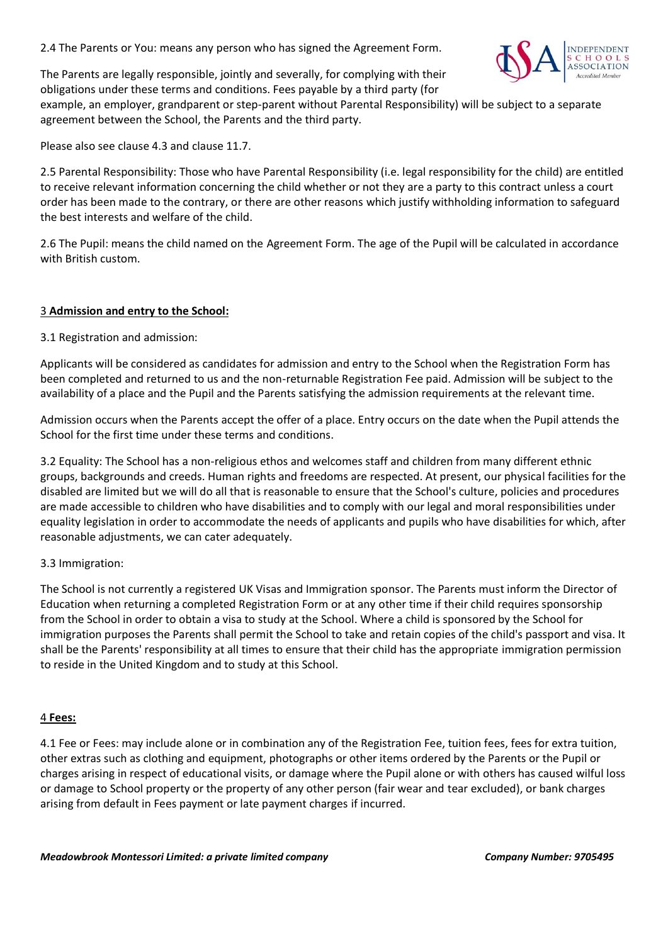2.4 The Parents or You: means any person who has signed the Agreement Form.



The Parents are legally responsible, jointly and severally, for complying with their obligations under these terms and conditions. Fees payable by a third party (for

example, an employer, grandparent or step-parent without Parental Responsibility) will be subject to a separate agreement between the School, the Parents and the third party.

Please also see clause 4.3 and clause 11.7.

2.5 Parental Responsibility: Those who have Parental Responsibility (i.e. legal responsibility for the child) are entitled to receive relevant information concerning the child whether or not they are a party to this contract unless a court order has been made to the contrary, or there are other reasons which justify withholding information to safeguard the best interests and welfare of the child.

2.6 The Pupil: means the child named on the Agreement Form. The age of the Pupil will be calculated in accordance with British custom.

## 3 **Admission and entry to the School:**

3.1 Registration and admission:

Applicants will be considered as candidates for admission and entry to the School when the Registration Form has been completed and returned to us and the non-returnable Registration Fee paid. Admission will be subject to the availability of a place and the Pupil and the Parents satisfying the admission requirements at the relevant time.

Admission occurs when the Parents accept the offer of a place. Entry occurs on the date when the Pupil attends the School for the first time under these terms and conditions.

3.2 Equality: The School has a non-religious ethos and welcomes staff and children from many different ethnic groups, backgrounds and creeds. Human rights and freedoms are respected. At present, our physical facilities for the disabled are limited but we will do all that is reasonable to ensure that the School's culture, policies and procedures are made accessible to children who have disabilities and to comply with our legal and moral responsibilities under equality legislation in order to accommodate the needs of applicants and pupils who have disabilities for which, after reasonable adjustments, we can cater adequately.

#### 3.3 Immigration:

The School is not currently a registered UK Visas and Immigration sponsor. The Parents must inform the Director of Education when returning a completed Registration Form or at any other time if their child requires sponsorship from the School in order to obtain a visa to study at the School. Where a child is sponsored by the School for immigration purposes the Parents shall permit the School to take and retain copies of the child's passport and visa. It shall be the Parents' responsibility at all times to ensure that their child has the appropriate immigration permission to reside in the United Kingdom and to study at this School.

#### 4 **Fees:**

4.1 Fee or Fees: may include alone or in combination any of the Registration Fee, tuition fees, fees for extra tuition, other extras such as clothing and equipment, photographs or other items ordered by the Parents or the Pupil or charges arising in respect of educational visits, or damage where the Pupil alone or with others has caused wilful loss or damage to School property or the property of any other person (fair wear and tear excluded), or bank charges arising from default in Fees payment or late payment charges if incurred.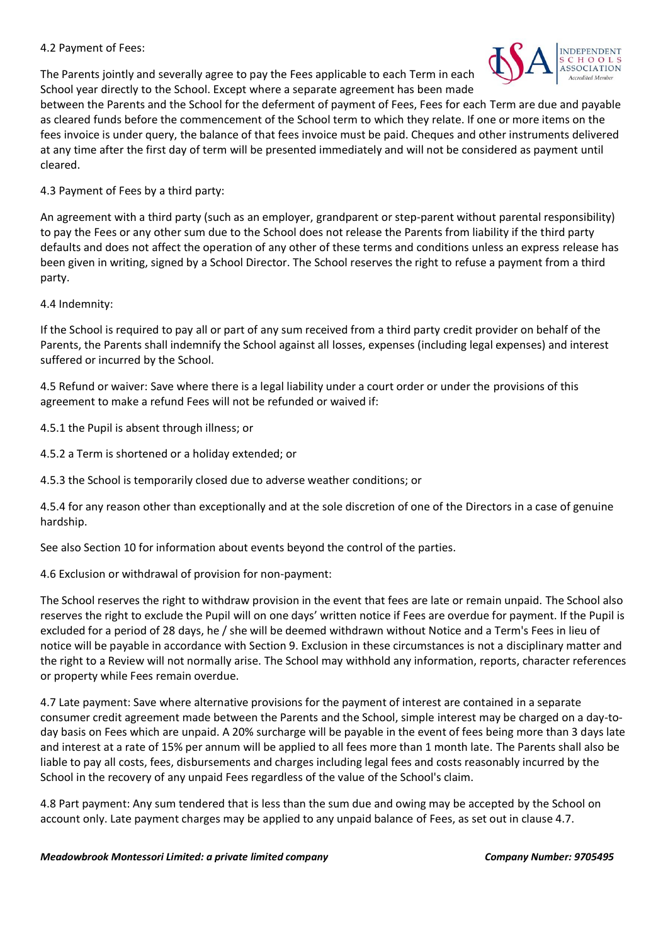#### 4.2 Payment of Fees:

The Parents jointly and severally agree to pay the Fees applicable to each Term in each School year directly to the School. Except where a separate agreement has been made



between the Parents and the School for the deferment of payment of Fees, Fees for each Term are due and payable as cleared funds before the commencement of the School term to which they relate. If one or more items on the fees invoice is under query, the balance of that fees invoice must be paid. Cheques and other instruments delivered at any time after the first day of term will be presented immediately and will not be considered as payment until cleared.

# 4.3 Payment of Fees by a third party:

An agreement with a third party (such as an employer, grandparent or step-parent without parental responsibility) to pay the Fees or any other sum due to the School does not release the Parents from liability if the third party defaults and does not affect the operation of any other of these terms and conditions unless an express release has been given in writing, signed by a School Director. The School reserves the right to refuse a payment from a third party.

# 4.4 Indemnity:

If the School is required to pay all or part of any sum received from a third party credit provider on behalf of the Parents, the Parents shall indemnify the School against all losses, expenses (including legal expenses) and interest suffered or incurred by the School.

4.5 Refund or waiver: Save where there is a legal liability under a court order or under the provisions of this agreement to make a refund Fees will not be refunded or waived if:

4.5.1 the Pupil is absent through illness; or

4.5.2 a Term is shortened or a holiday extended; or

4.5.3 the School is temporarily closed due to adverse weather conditions; or

4.5.4 for any reason other than exceptionally and at the sole discretion of one of the Directors in a case of genuine hardship.

See also Section 10 for information about events beyond the control of the parties.

4.6 Exclusion or withdrawal of provision for non-payment:

The School reserves the right to withdraw provision in the event that fees are late or remain unpaid. The School also reserves the right to exclude the Pupil will on one days' written notice if Fees are overdue for payment. If the Pupil is excluded for a period of 28 days, he / she will be deemed withdrawn without Notice and a Term's Fees in lieu of notice will be payable in accordance with Section 9. Exclusion in these circumstances is not a disciplinary matter and the right to a Review will not normally arise. The School may withhold any information, reports, character references or property while Fees remain overdue.

4.7 Late payment: Save where alternative provisions for the payment of interest are contained in a separate consumer credit agreement made between the Parents and the School, simple interest may be charged on a day-today basis on Fees which are unpaid. A 20% surcharge will be payable in the event of fees being more than 3 days late and interest at a rate of 15% per annum will be applied to all fees more than 1 month late. The Parents shall also be liable to pay all costs, fees, disbursements and charges including legal fees and costs reasonably incurred by the School in the recovery of any unpaid Fees regardless of the value of the School's claim.

4.8 Part payment: Any sum tendered that is less than the sum due and owing may be accepted by the School on account only. Late payment charges may be applied to any unpaid balance of Fees, as set out in clause 4.7.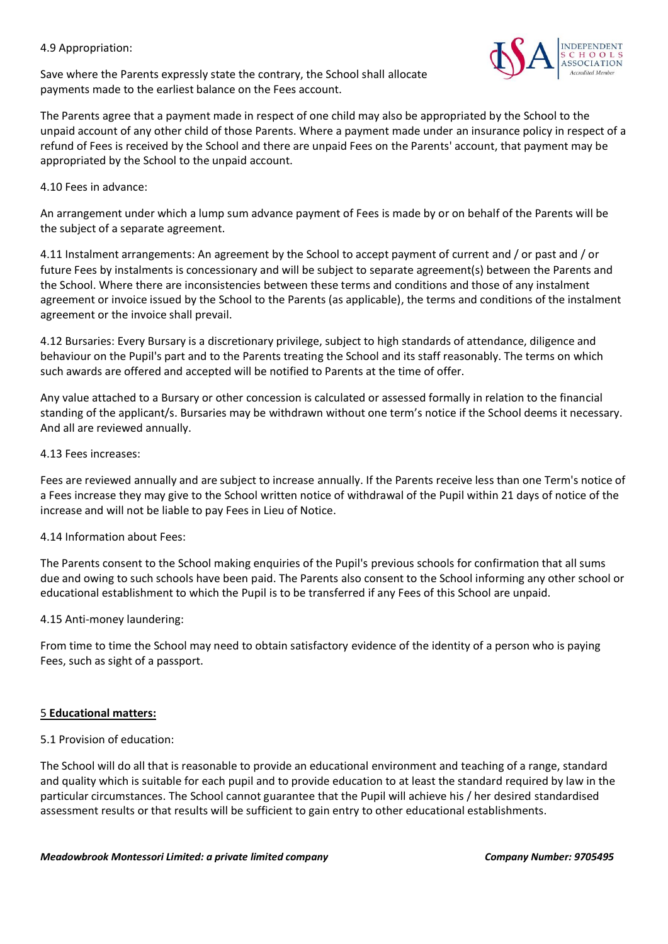#### 4.9 Appropriation:

Save where the Parents expressly state the contrary, the School shall allocate payments made to the earliest balance on the Fees account.

The Parents agree that a payment made in respect of one child may also be appropriated by the School to the unpaid account of any other child of those Parents. Where a payment made under an insurance policy in respect of a refund of Fees is received by the School and there are unpaid Fees on the Parents' account, that payment may be appropriated by the School to the unpaid account.

4.10 Fees in advance:

An arrangement under which a lump sum advance payment of Fees is made by or on behalf of the Parents will be the subject of a separate agreement.

4.11 Instalment arrangements: An agreement by the School to accept payment of current and / or past and / or future Fees by instalments is concessionary and will be subject to separate agreement(s) between the Parents and the School. Where there are inconsistencies between these terms and conditions and those of any instalment agreement or invoice issued by the School to the Parents (as applicable), the terms and conditions of the instalment agreement or the invoice shall prevail.

4.12 Bursaries: Every Bursary is a discretionary privilege, subject to high standards of attendance, diligence and behaviour on the Pupil's part and to the Parents treating the School and its staff reasonably. The terms on which such awards are offered and accepted will be notified to Parents at the time of offer.

Any value attached to a Bursary or other concession is calculated or assessed formally in relation to the financial standing of the applicant/s. Bursaries may be withdrawn without one term's notice if the School deems it necessary. And all are reviewed annually.

#### 4.13 Fees increases:

Fees are reviewed annually and are subject to increase annually. If the Parents receive less than one Term's notice of a Fees increase they may give to the School written notice of withdrawal of the Pupil within 21 days of notice of the increase and will not be liable to pay Fees in Lieu of Notice.

#### 4.14 Information about Fees:

The Parents consent to the School making enquiries of the Pupil's previous schools for confirmation that all sums due and owing to such schools have been paid. The Parents also consent to the School informing any other school or educational establishment to which the Pupil is to be transferred if any Fees of this School are unpaid.

#### 4.15 Anti-money laundering:

From time to time the School may need to obtain satisfactory evidence of the identity of a person who is paying Fees, such as sight of a passport.

#### 5 **Educational matters:**

#### 5.1 Provision of education:

The School will do all that is reasonable to provide an educational environment and teaching of a range, standard and quality which is suitable for each pupil and to provide education to at least the standard required by law in the particular circumstances. The School cannot guarantee that the Pupil will achieve his / her desired standardised assessment results or that results will be sufficient to gain entry to other educational establishments.

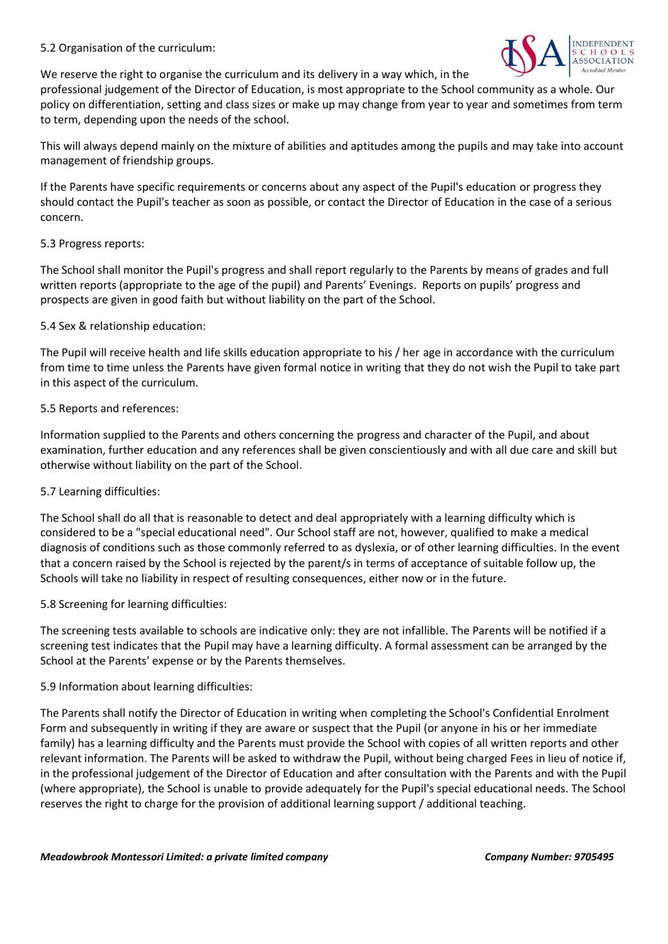#### 5.2 Organisation of the curriculum:



We reserve the right to organise the curriculum and its delivery in a way which, in the

professional judgement of the Director of Education, is most appropriate to the School community as a whole. Our policy on differentiation, setting and class sizes or make up may change from year to year and sometimes from term to term, depending upon the needs of the school.

This will always depend mainly on the mixture of abilities and aptitudes among the pupils and may take into account management of friendship groups.

If the Parents have specific requirements or concerns about any aspect of the Pupil's education or progress they should contact the Pupil's teacher as soon as possible, or contact the Director of Education in the case of a serious concern.

#### 5.3 Progress reports:

The School shall monitor the Pupil's progress and shall report regularly to the Parents by means of grades and full written reports (appropriate to the age of the pupil) and Parents' Evenings. Reports on pupils' progress and prospects are given in good faith but without liability on the part of the School.

#### 5.4 Sex & relationship education:

The Pupil will receive health and life skills education appropriate to his / her age in accordance with the curriculum from time to time unless the Parents have given formal notice in writing that they do not wish the Pupil to take part in this aspect of the curriculum.

#### 5.5 Reports and references:

Information supplied to the Parents and others concerning the progress and character of the Pupil, and about examination, further education and any references shall be given conscientiously and with all due care and skill but otherwise without liability on the part of the School.

#### 5.7 Learning difficulties:

The School shall do all that is reasonable to detect and deal appropriately with a learning difficulty which is considered to be a "special educational need". Our School staff are not, however, qualified to make a medical diagnosis of conditions such as those commonly referred to as dyslexia, or of other learning difficulties. In the event that a concern raised by the School is rejected by the parent/s in terms of acceptance of suitable follow up, the Schools will take no liability in respect of resulting consequences, either now or in the future.

#### 5.8 Screening for learning difficulties:

The screening tests available to schools are indicative only: they are not infallible. The Parents will be notified if a screening test indicates that the Pupil may have a learning difficulty. A formal assessment can be arranged by the School at the Parents' expense or by the Parents themselves.

#### 5.9 Information about learning difficulties:

The Parents shall notify the Director of Education in writing when completing the School's Confidential Enrolment Form and subsequently in writing if they are aware or suspect that the Pupil (or anyone in his or her immediate family) has a learning difficulty and the Parents must provide the School with copies of all written reports and other relevant information. The Parents will be asked to withdraw the Pupil, without being charged Fees in lieu of notice if, in the professional judgement of the Director of Education and after consultation with the Parents and with the Pupil (where appropriate), the School is unable to provide adequately for the Pupil's special educational needs. The School reserves the right to charge for the provision of additional learning support / additional teaching.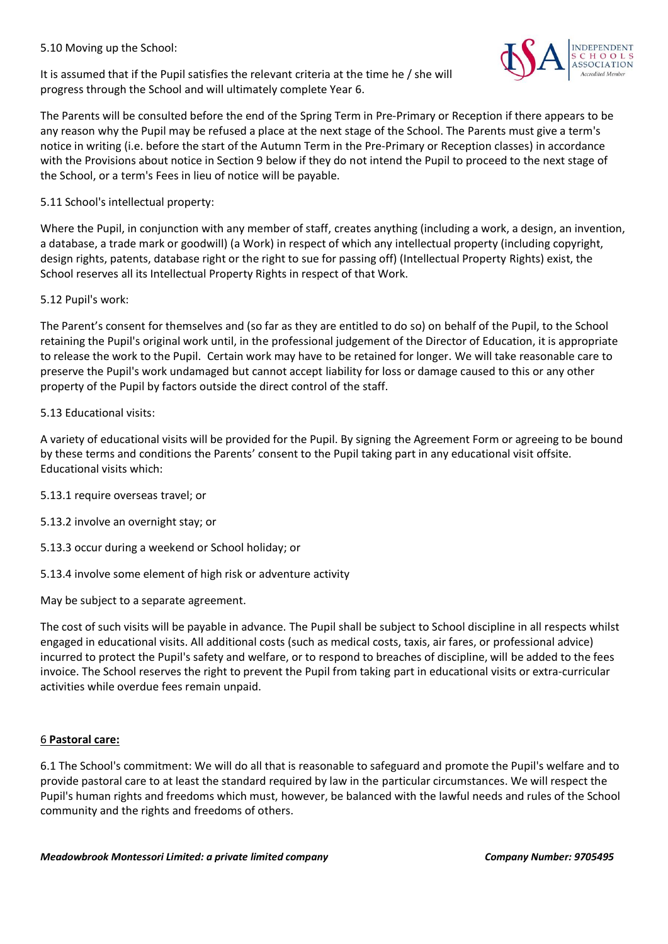5.10 Moving up the School:

It is assumed that if the Pupil satisfies the relevant criteria at the time he / she will progress through the School and will ultimately complete Year 6.

The Parents will be consulted before the end of the Spring Term in Pre-Primary or Reception if there appears to be any reason why the Pupil may be refused a place at the next stage of the School. The Parents must give a term's notice in writing (i.e. before the start of the Autumn Term in the Pre-Primary or Reception classes) in accordance with the Provisions about notice in Section 9 below if they do not intend the Pupil to proceed to the next stage of the School, or a term's Fees in lieu of notice will be payable.

5.11 School's intellectual property:

Where the Pupil, in conjunction with any member of staff, creates anything (including a work, a design, an invention, a database, a trade mark or goodwill) (a Work) in respect of which any intellectual property (including copyright, design rights, patents, database right or the right to sue for passing off) (Intellectual Property Rights) exist, the School reserves all its Intellectual Property Rights in respect of that Work.

## 5.12 Pupil's work:

The Parent's consent for themselves and (so far as they are entitled to do so) on behalf of the Pupil, to the School retaining the Pupil's original work until, in the professional judgement of the Director of Education, it is appropriate to release the work to the Pupil. Certain work may have to be retained for longer. We will take reasonable care to preserve the Pupil's work undamaged but cannot accept liability for loss or damage caused to this or any other property of the Pupil by factors outside the direct control of the staff.

## 5.13 Educational visits:

A variety of educational visits will be provided for the Pupil. By signing the Agreement Form or agreeing to be bound by these terms and conditions the Parents' consent to the Pupil taking part in any educational visit offsite. Educational visits which:

- 5.13.1 require overseas travel; or
- 5.13.2 involve an overnight stay; or
- 5.13.3 occur during a weekend or School holiday; or
- 5.13.4 involve some element of high risk or adventure activity

May be subject to a separate agreement.

The cost of such visits will be payable in advance. The Pupil shall be subject to School discipline in all respects whilst engaged in educational visits. All additional costs (such as medical costs, taxis, air fares, or professional advice) incurred to protect the Pupil's safety and welfare, or to respond to breaches of discipline, will be added to the fees invoice. The School reserves the right to prevent the Pupil from taking part in educational visits or extra-curricular activities while overdue fees remain unpaid.

# 6 **Pastoral care:**

6.1 The School's commitment: We will do all that is reasonable to safeguard and promote the Pupil's welfare and to provide pastoral care to at least the standard required by law in the particular circumstances. We will respect the Pupil's human rights and freedoms which must, however, be balanced with the lawful needs and rules of the School community and the rights and freedoms of others.

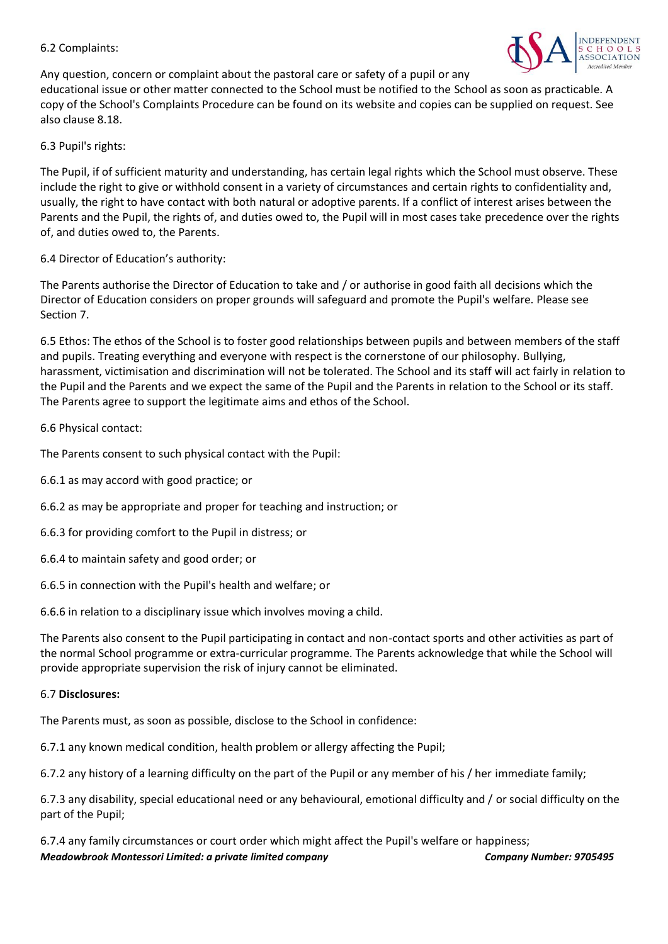#### 6.2 Complaints:



Any question, concern or complaint about the pastoral care or safety of a pupil or any

educational issue or other matter connected to the School must be notified to the School as soon as practicable. A copy of the School's Complaints Procedure can be found on its website and copies can be supplied on request. See also clause 8.18.

#### 6.3 Pupil's rights:

The Pupil, if of sufficient maturity and understanding, has certain legal rights which the School must observe. These include the right to give or withhold consent in a variety of circumstances and certain rights to confidentiality and, usually, the right to have contact with both natural or adoptive parents. If a conflict of interest arises between the Parents and the Pupil, the rights of, and duties owed to, the Pupil will in most cases take precedence over the rights of, and duties owed to, the Parents.

6.4 Director of Education's authority:

The Parents authorise the Director of Education to take and / or authorise in good faith all decisions which the Director of Education considers on proper grounds will safeguard and promote the Pupil's welfare. Please see Section 7.

6.5 Ethos: The ethos of the School is to foster good relationships between pupils and between members of the staff and pupils. Treating everything and everyone with respect is the cornerstone of our philosophy. Bullying, harassment, victimisation and discrimination will not be tolerated. The School and its staff will act fairly in relation to the Pupil and the Parents and we expect the same of the Pupil and the Parents in relation to the School or its staff. The Parents agree to support the legitimate aims and ethos of the School.

6.6 Physical contact:

The Parents consent to such physical contact with the Pupil:

- 6.6.1 as may accord with good practice; or
- 6.6.2 as may be appropriate and proper for teaching and instruction; or
- 6.6.3 for providing comfort to the Pupil in distress; or
- 6.6.4 to maintain safety and good order; or
- 6.6.5 in connection with the Pupil's health and welfare; or

6.6.6 in relation to a disciplinary issue which involves moving a child.

The Parents also consent to the Pupil participating in contact and non-contact sports and other activities as part of the normal School programme or extra-curricular programme. The Parents acknowledge that while the School will provide appropriate supervision the risk of injury cannot be eliminated.

#### 6.7 **Disclosures:**

The Parents must, as soon as possible, disclose to the School in confidence:

6.7.1 any known medical condition, health problem or allergy affecting the Pupil;

6.7.2 any history of a learning difficulty on the part of the Pupil or any member of his / her immediate family;

6.7.3 any disability, special educational need or any behavioural, emotional difficulty and / or social difficulty on the part of the Pupil;

*Meadowbrook Montessori Limited: a private limited company Company Number: 9705495* 6.7.4 any family circumstances or court order which might affect the Pupil's welfare or happiness;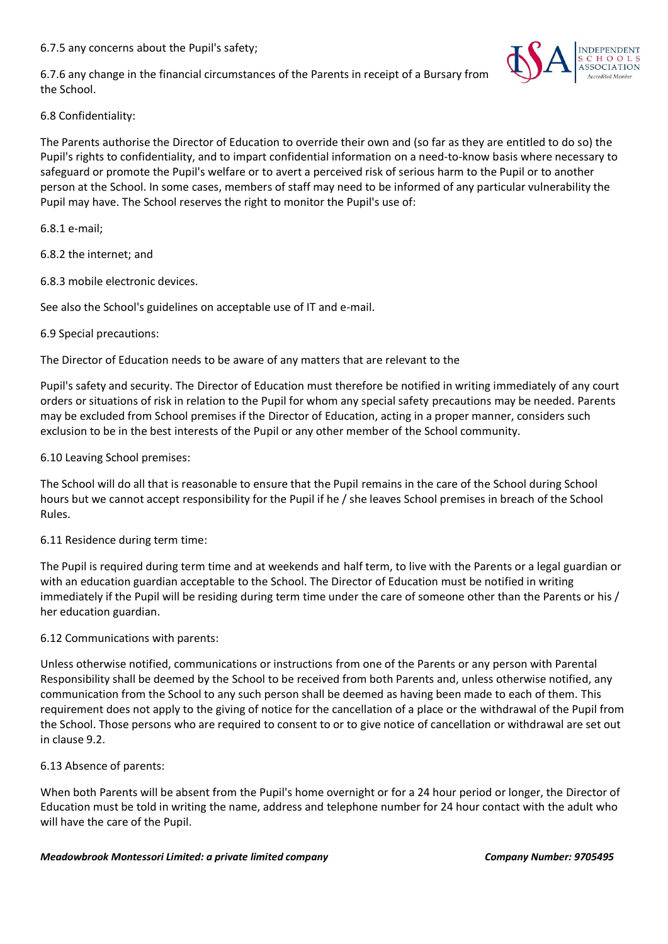6.7.5 any concerns about the Pupil's safety;

6.7.6 any change in the financial circumstances of the Parents in receipt of a Bursary from the School.



6.8 Confidentiality:

The Parents authorise the Director of Education to override their own and (so far as they are entitled to do so) the Pupil's rights to confidentiality, and to impart confidential information on a need-to-know basis where necessary to safeguard or promote the Pupil's welfare or to avert a perceived risk of serious harm to the Pupil or to another person at the School. In some cases, members of staff may need to be informed of any particular vulnerability the Pupil may have. The School reserves the right to monitor the Pupil's use of:

6.8.1 e-mail;

6.8.2 the internet; and

6.8.3 mobile electronic devices.

See also the School's guidelines on acceptable use of IT and e-mail.

#### 6.9 Special precautions:

The Director of Education needs to be aware of any matters that are relevant to the

Pupil's safety and security. The Director of Education must therefore be notified in writing immediately of any court orders or situations of risk in relation to the Pupil for whom any special safety precautions may be needed. Parents may be excluded from School premises if the Director of Education, acting in a proper manner, considers such exclusion to be in the best interests of the Pupil or any other member of the School community.

6.10 Leaving School premises:

The School will do all that is reasonable to ensure that the Pupil remains in the care of the School during School hours but we cannot accept responsibility for the Pupil if he / she leaves School premises in breach of the School Rules.

#### 6.11 Residence during term time:

The Pupil is required during term time and at weekends and half term, to live with the Parents or a legal guardian or with an education guardian acceptable to the School. The Director of Education must be notified in writing immediately if the Pupil will be residing during term time under the care of someone other than the Parents or his / her education guardian.

#### 6.12 Communications with parents:

Unless otherwise notified, communications or instructions from one of the Parents or any person with Parental Responsibility shall be deemed by the School to be received from both Parents and, unless otherwise notified, any communication from the School to any such person shall be deemed as having been made to each of them. This requirement does not apply to the giving of notice for the cancellation of a place or the withdrawal of the Pupil from the School. Those persons who are required to consent to or to give notice of cancellation or withdrawal are set out in clause 9.2.

6.13 Absence of parents:

When both Parents will be absent from the Pupil's home overnight or for a 24 hour period or longer, the Director of Education must be told in writing the name, address and telephone number for 24 hour contact with the adult who will have the care of the Pupil.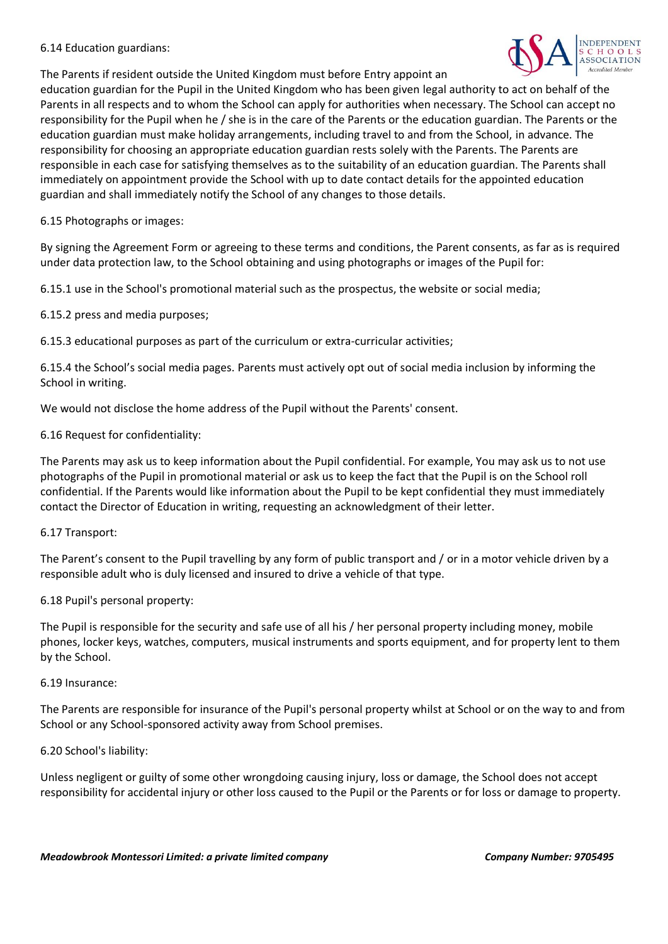#### 6.14 Education guardians:

The Parents if resident outside the United Kingdom must before Entry appoint an



education guardian for the Pupil in the United Kingdom who has been given legal authority to act on behalf of the Parents in all respects and to whom the School can apply for authorities when necessary. The School can accept no responsibility for the Pupil when he / she is in the care of the Parents or the education guardian. The Parents or the education guardian must make holiday arrangements, including travel to and from the School, in advance. The responsibility for choosing an appropriate education guardian rests solely with the Parents. The Parents are responsible in each case for satisfying themselves as to the suitability of an education guardian. The Parents shall immediately on appointment provide the School with up to date contact details for the appointed education guardian and shall immediately notify the School of any changes to those details.

6.15 Photographs or images:

By signing the Agreement Form or agreeing to these terms and conditions, the Parent consents, as far as is required under data protection law, to the School obtaining and using photographs or images of the Pupil for:

6.15.1 use in the School's promotional material such as the prospectus, the website or social media;

6.15.2 press and media purposes;

6.15.3 educational purposes as part of the curriculum or extra-curricular activities;

6.15.4 the School's social media pages. Parents must actively opt out of social media inclusion by informing the School in writing.

We would not disclose the home address of the Pupil without the Parents' consent.

6.16 Request for confidentiality:

The Parents may ask us to keep information about the Pupil confidential. For example, You may ask us to not use photographs of the Pupil in promotional material or ask us to keep the fact that the Pupil is on the School roll confidential. If the Parents would like information about the Pupil to be kept confidential they must immediately contact the Director of Education in writing, requesting an acknowledgment of their letter.

#### 6.17 Transport:

The Parent's consent to the Pupil travelling by any form of public transport and / or in a motor vehicle driven by a responsible adult who is duly licensed and insured to drive a vehicle of that type.

6.18 Pupil's personal property:

The Pupil is responsible for the security and safe use of all his / her personal property including money, mobile phones, locker keys, watches, computers, musical instruments and sports equipment, and for property lent to them by the School.

#### 6.19 Insurance:

The Parents are responsible for insurance of the Pupil's personal property whilst at School or on the way to and from School or any School-sponsored activity away from School premises.

6.20 School's liability:

Unless negligent or guilty of some other wrongdoing causing injury, loss or damage, the School does not accept responsibility for accidental injury or other loss caused to the Pupil or the Parents or for loss or damage to property.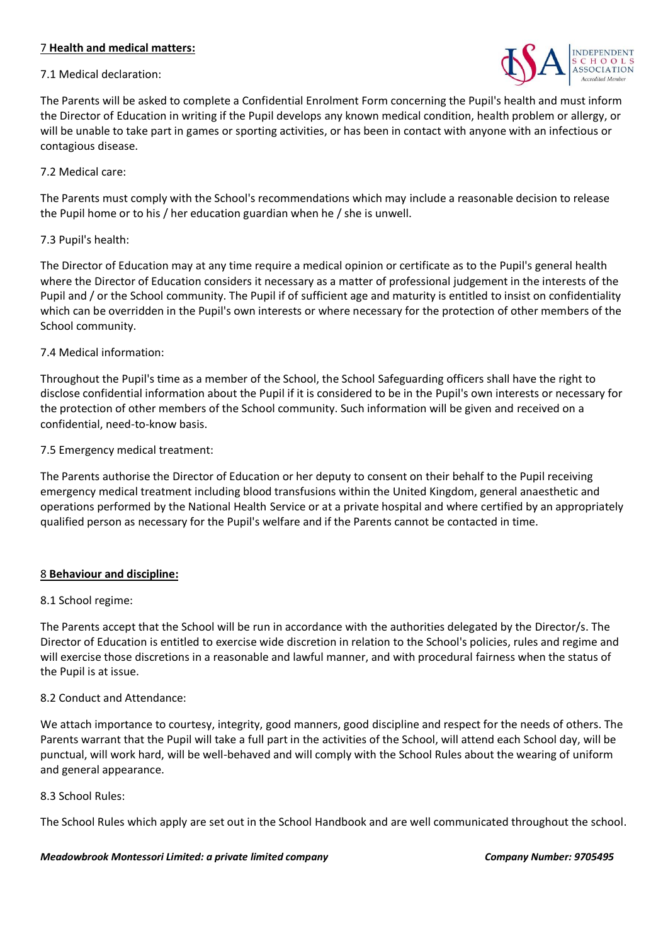#### 7 **Health and medical matters:**

#### 7.1 Medical declaration:



The Parents will be asked to complete a Confidential Enrolment Form concerning the Pupil's health and must inform the Director of Education in writing if the Pupil develops any known medical condition, health problem or allergy, or will be unable to take part in games or sporting activities, or has been in contact with anyone with an infectious or contagious disease.

#### 7.2 Medical care:

The Parents must comply with the School's recommendations which may include a reasonable decision to release the Pupil home or to his / her education guardian when he / she is unwell.

## 7.3 Pupil's health:

The Director of Education may at any time require a medical opinion or certificate as to the Pupil's general health where the Director of Education considers it necessary as a matter of professional judgement in the interests of the Pupil and / or the School community. The Pupil if of sufficient age and maturity is entitled to insist on confidentiality which can be overridden in the Pupil's own interests or where necessary for the protection of other members of the School community.

## 7.4 Medical information:

Throughout the Pupil's time as a member of the School, the School Safeguarding officers shall have the right to disclose confidential information about the Pupil if it is considered to be in the Pupil's own interests or necessary for the protection of other members of the School community. Such information will be given and received on a confidential, need-to-know basis.

7.5 Emergency medical treatment:

The Parents authorise the Director of Education or her deputy to consent on their behalf to the Pupil receiving emergency medical treatment including blood transfusions within the United Kingdom, general anaesthetic and operations performed by the National Health Service or at a private hospital and where certified by an appropriately qualified person as necessary for the Pupil's welfare and if the Parents cannot be contacted in time.

# 8 **Behaviour and discipline:**

#### 8.1 School regime:

The Parents accept that the School will be run in accordance with the authorities delegated by the Director/s. The Director of Education is entitled to exercise wide discretion in relation to the School's policies, rules and regime and will exercise those discretions in a reasonable and lawful manner, and with procedural fairness when the status of the Pupil is at issue.

#### 8.2 Conduct and Attendance:

We attach importance to courtesy, integrity, good manners, good discipline and respect for the needs of others. The Parents warrant that the Pupil will take a full part in the activities of the School, will attend each School day, will be punctual, will work hard, will be well-behaved and will comply with the School Rules about the wearing of uniform and general appearance.

#### 8.3 School Rules:

The School Rules which apply are set out in the School Handbook and are well communicated throughout the school.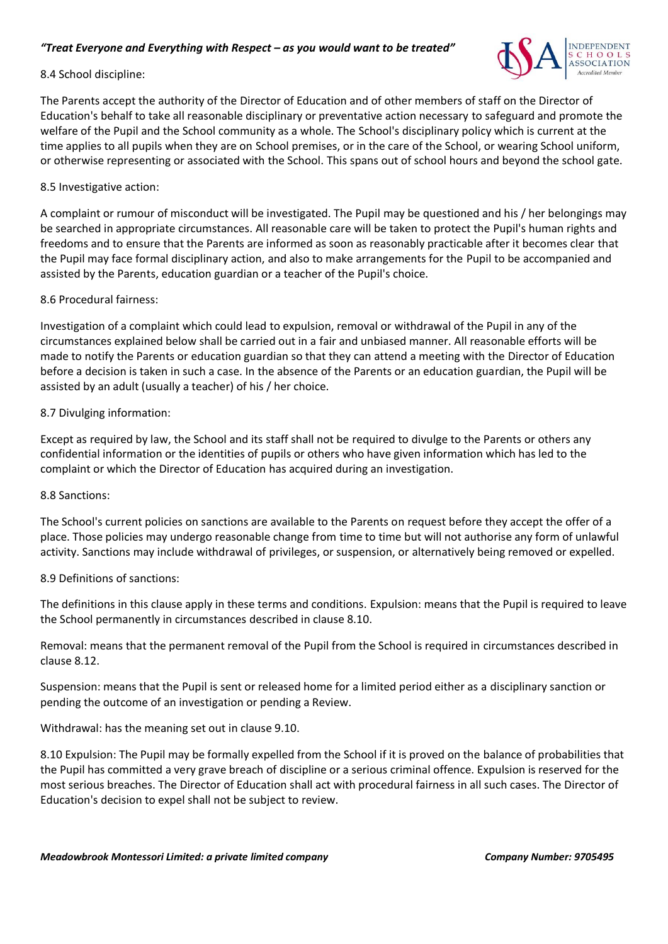## *"Treat Everyone and Everything with Respect – as you would want to be treated"*



#### 8.4 School discipline:

The Parents accept the authority of the Director of Education and of other members of staff on the Director of Education's behalf to take all reasonable disciplinary or preventative action necessary to safeguard and promote the welfare of the Pupil and the School community as a whole. The School's disciplinary policy which is current at the time applies to all pupils when they are on School premises, or in the care of the School, or wearing School uniform, or otherwise representing or associated with the School. This spans out of school hours and beyond the school gate.

#### 8.5 Investigative action:

A complaint or rumour of misconduct will be investigated. The Pupil may be questioned and his / her belongings may be searched in appropriate circumstances. All reasonable care will be taken to protect the Pupil's human rights and freedoms and to ensure that the Parents are informed as soon as reasonably practicable after it becomes clear that the Pupil may face formal disciplinary action, and also to make arrangements for the Pupil to be accompanied and assisted by the Parents, education guardian or a teacher of the Pupil's choice.

#### 8.6 Procedural fairness:

Investigation of a complaint which could lead to expulsion, removal or withdrawal of the Pupil in any of the circumstances explained below shall be carried out in a fair and unbiased manner. All reasonable efforts will be made to notify the Parents or education guardian so that they can attend a meeting with the Director of Education before a decision is taken in such a case. In the absence of the Parents or an education guardian, the Pupil will be assisted by an adult (usually a teacher) of his / her choice.

#### 8.7 Divulging information:

Except as required by law, the School and its staff shall not be required to divulge to the Parents or others any confidential information or the identities of pupils or others who have given information which has led to the complaint or which the Director of Education has acquired during an investigation.

#### 8.8 Sanctions:

The School's current policies on sanctions are available to the Parents on request before they accept the offer of a place. Those policies may undergo reasonable change from time to time but will not authorise any form of unlawful activity. Sanctions may include withdrawal of privileges, or suspension, or alternatively being removed or expelled.

#### 8.9 Definitions of sanctions:

The definitions in this clause apply in these terms and conditions. Expulsion: means that the Pupil is required to leave the School permanently in circumstances described in clause 8.10.

Removal: means that the permanent removal of the Pupil from the School is required in circumstances described in clause 8.12.

Suspension: means that the Pupil is sent or released home for a limited period either as a disciplinary sanction or pending the outcome of an investigation or pending a Review.

Withdrawal: has the meaning set out in clause 9.10.

8.10 Expulsion: The Pupil may be formally expelled from the School if it is proved on the balance of probabilities that the Pupil has committed a very grave breach of discipline or a serious criminal offence. Expulsion is reserved for the most serious breaches. The Director of Education shall act with procedural fairness in all such cases. The Director of Education's decision to expel shall not be subject to review.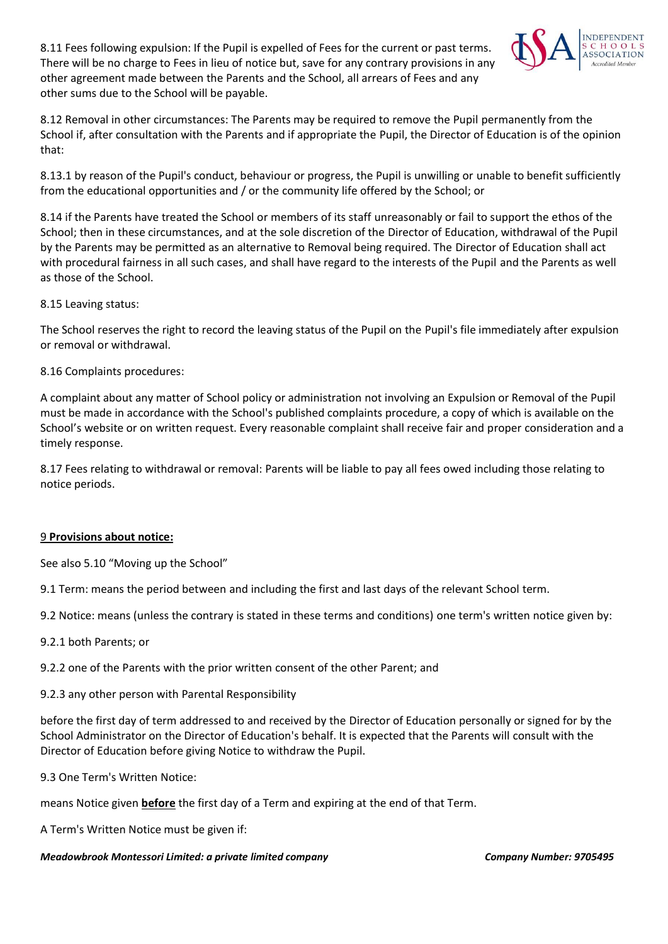8.11 Fees following expulsion: If the Pupil is expelled of Fees for the current or past terms. There will be no charge to Fees in lieu of notice but, save for any contrary provisions in any other agreement made between the Parents and the School, all arrears of Fees and any other sums due to the School will be payable.



8.12 Removal in other circumstances: The Parents may be required to remove the Pupil permanently from the School if, after consultation with the Parents and if appropriate the Pupil, the Director of Education is of the opinion that:

8.13.1 by reason of the Pupil's conduct, behaviour or progress, the Pupil is unwilling or unable to benefit sufficiently from the educational opportunities and / or the community life offered by the School; or

8.14 if the Parents have treated the School or members of its staff unreasonably or fail to support the ethos of the School; then in these circumstances, and at the sole discretion of the Director of Education, withdrawal of the Pupil by the Parents may be permitted as an alternative to Removal being required. The Director of Education shall act with procedural fairness in all such cases, and shall have regard to the interests of the Pupil and the Parents as well as those of the School.

8.15 Leaving status:

The School reserves the right to record the leaving status of the Pupil on the Pupil's file immediately after expulsion or removal or withdrawal.

8.16 Complaints procedures:

A complaint about any matter of School policy or administration not involving an Expulsion or Removal of the Pupil must be made in accordance with the School's published complaints procedure, a copy of which is available on the School's website or on written request. Every reasonable complaint shall receive fair and proper consideration and a timely response.

8.17 Fees relating to withdrawal or removal: Parents will be liable to pay all fees owed including those relating to notice periods.

# 9 **Provisions about notice:**

See also 5.10 "Moving up the School"

9.1 Term: means the period between and including the first and last days of the relevant School term.

9.2 Notice: means (unless the contrary is stated in these terms and conditions) one term's written notice given by:

9.2.1 both Parents; or

9.2.2 one of the Parents with the prior written consent of the other Parent; and

9.2.3 any other person with Parental Responsibility

before the first day of term addressed to and received by the Director of Education personally or signed for by the School Administrator on the Director of Education's behalf. It is expected that the Parents will consult with the Director of Education before giving Notice to withdraw the Pupil.

9.3 One Term's Written Notice:

means Notice given **before** the first day of a Term and expiring at the end of that Term.

A Term's Written Notice must be given if: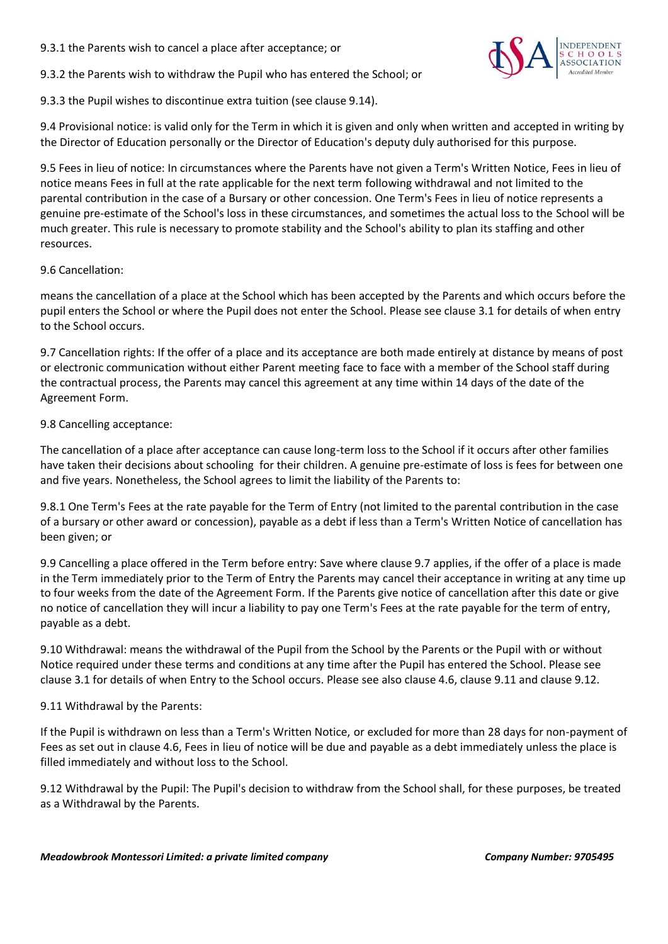9.3.1 the Parents wish to cancel a place after acceptance; or



9.3.2 the Parents wish to withdraw the Pupil who has entered the School; or

9.3.3 the Pupil wishes to discontinue extra tuition (see clause 9.14).

9.4 Provisional notice: is valid only for the Term in which it is given and only when written and accepted in writing by the Director of Education personally or the Director of Education's deputy duly authorised for this purpose.

9.5 Fees in lieu of notice: In circumstances where the Parents have not given a Term's Written Notice, Fees in lieu of notice means Fees in full at the rate applicable for the next term following withdrawal and not limited to the parental contribution in the case of a Bursary or other concession. One Term's Fees in lieu of notice represents a genuine pre-estimate of the School's loss in these circumstances, and sometimes the actual loss to the School will be much greater. This rule is necessary to promote stability and the School's ability to plan its staffing and other resources.

## 9.6 Cancellation:

means the cancellation of a place at the School which has been accepted by the Parents and which occurs before the pupil enters the School or where the Pupil does not enter the School. Please see clause 3.1 for details of when entry to the School occurs.

9.7 Cancellation rights: If the offer of a place and its acceptance are both made entirely at distance by means of post or electronic communication without either Parent meeting face to face with a member of the School staff during the contractual process, the Parents may cancel this agreement at any time within 14 days of the date of the Agreement Form.

## 9.8 Cancelling acceptance:

The cancellation of a place after acceptance can cause long-term loss to the School if it occurs after other families have taken their decisions about schooling for their children. A genuine pre-estimate of loss is fees for between one and five years. Nonetheless, the School agrees to limit the liability of the Parents to:

9.8.1 One Term's Fees at the rate payable for the Term of Entry (not limited to the parental contribution in the case of a bursary or other award or concession), payable as a debt if less than a Term's Written Notice of cancellation has been given; or

9.9 Cancelling a place offered in the Term before entry: Save where clause 9.7 applies, if the offer of a place is made in the Term immediately prior to the Term of Entry the Parents may cancel their acceptance in writing at any time up to four weeks from the date of the Agreement Form. If the Parents give notice of cancellation after this date or give no notice of cancellation they will incur a liability to pay one Term's Fees at the rate payable for the term of entry, payable as a debt.

9.10 Withdrawal: means the withdrawal of the Pupil from the School by the Parents or the Pupil with or without Notice required under these terms and conditions at any time after the Pupil has entered the School. Please see clause 3.1 for details of when Entry to the School occurs. Please see also clause 4.6, clause 9.11 and clause 9.12.

# 9.11 Withdrawal by the Parents:

If the Pupil is withdrawn on less than a Term's Written Notice, or excluded for more than 28 days for non-payment of Fees as set out in clause 4.6, Fees in lieu of notice will be due and payable as a debt immediately unless the place is filled immediately and without loss to the School.

9.12 Withdrawal by the Pupil: The Pupil's decision to withdraw from the School shall, for these purposes, be treated as a Withdrawal by the Parents.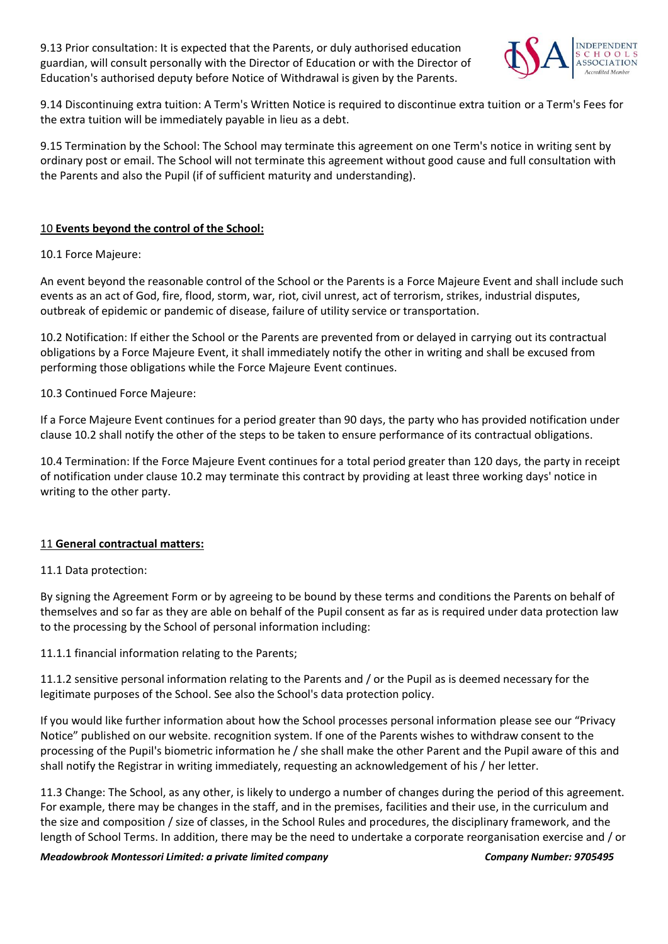9.13 Prior consultation: It is expected that the Parents, or duly authorised education guardian, will consult personally with the Director of Education or with the Director of Education's authorised deputy before Notice of Withdrawal is given by the Parents.



9.14 Discontinuing extra tuition: A Term's Written Notice is required to discontinue extra tuition or a Term's Fees for the extra tuition will be immediately payable in lieu as a debt.

9.15 Termination by the School: The School may terminate this agreement on one Term's notice in writing sent by ordinary post or email. The School will not terminate this agreement without good cause and full consultation with the Parents and also the Pupil (if of sufficient maturity and understanding).

## 10 **Events beyond the control of the School:**

10.1 Force Majeure:

An event beyond the reasonable control of the School or the Parents is a Force Majeure Event and shall include such events as an act of God, fire, flood, storm, war, riot, civil unrest, act of terrorism, strikes, industrial disputes, outbreak of epidemic or pandemic of disease, failure of utility service or transportation.

10.2 Notification: If either the School or the Parents are prevented from or delayed in carrying out its contractual obligations by a Force Majeure Event, it shall immediately notify the other in writing and shall be excused from performing those obligations while the Force Majeure Event continues.

10.3 Continued Force Majeure:

If a Force Majeure Event continues for a period greater than 90 days, the party who has provided notification under clause 10.2 shall notify the other of the steps to be taken to ensure performance of its contractual obligations.

10.4 Termination: If the Force Majeure Event continues for a total period greater than 120 days, the party in receipt of notification under clause 10.2 may terminate this contract by providing at least three working days' notice in writing to the other party.

#### 11 **General contractual matters:**

#### 11.1 Data protection:

By signing the Agreement Form or by agreeing to be bound by these terms and conditions the Parents on behalf of themselves and so far as they are able on behalf of the Pupil consent as far as is required under data protection law to the processing by the School of personal information including:

11.1.1 financial information relating to the Parents;

11.1.2 sensitive personal information relating to the Parents and / or the Pupil as is deemed necessary for the legitimate purposes of the School. See also the School's data protection policy.

If you would like further information about how the School processes personal information please see our "Privacy Notice" published on our website. recognition system. If one of the Parents wishes to withdraw consent to the processing of the Pupil's biometric information he / she shall make the other Parent and the Pupil aware of this and shall notify the Registrar in writing immediately, requesting an acknowledgement of his / her letter.

11.3 Change: The School, as any other, is likely to undergo a number of changes during the period of this agreement. For example, there may be changes in the staff, and in the premises, facilities and their use, in the curriculum and the size and composition / size of classes, in the School Rules and procedures, the disciplinary framework, and the length of School Terms. In addition, there may be the need to undertake a corporate reorganisation exercise and / or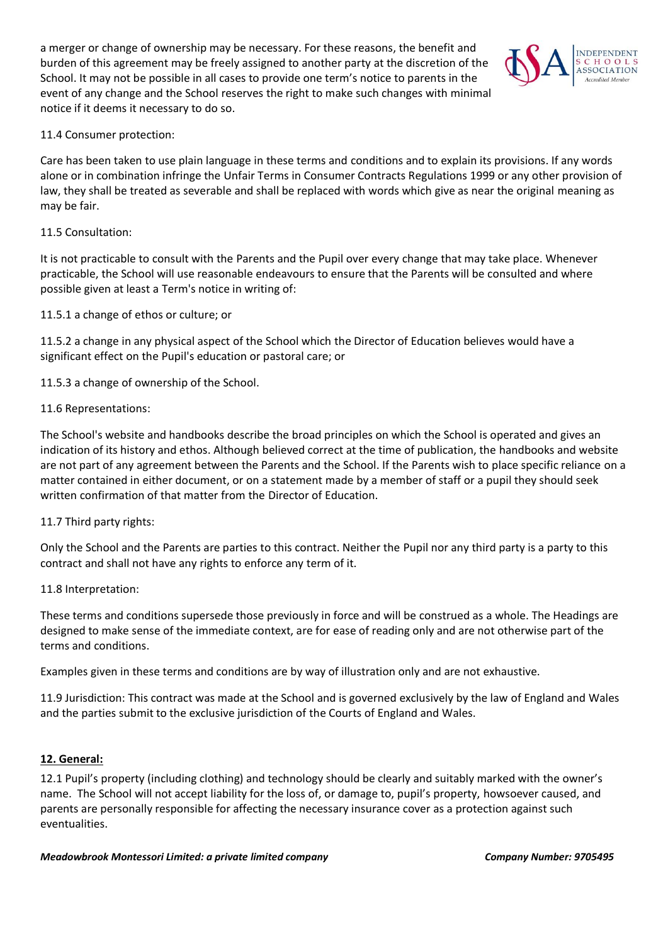a merger or change of ownership may be necessary. For these reasons, the benefit and burden of this agreement may be freely assigned to another party at the discretion of the School. It may not be possible in all cases to provide one term's notice to parents in the event of any change and the School reserves the right to make such changes with minimal notice if it deems it necessary to do so.



## 11.4 Consumer protection:

Care has been taken to use plain language in these terms and conditions and to explain its provisions. If any words alone or in combination infringe the Unfair Terms in Consumer Contracts Regulations 1999 or any other provision of law, they shall be treated as severable and shall be replaced with words which give as near the original meaning as may be fair.

#### 11.5 Consultation:

It is not practicable to consult with the Parents and the Pupil over every change that may take place. Whenever practicable, the School will use reasonable endeavours to ensure that the Parents will be consulted and where possible given at least a Term's notice in writing of:

11.5.1 a change of ethos or culture; or

11.5.2 a change in any physical aspect of the School which the Director of Education believes would have a significant effect on the Pupil's education or pastoral care; or

11.5.3 a change of ownership of the School.

## 11.6 Representations:

The School's website and handbooks describe the broad principles on which the School is operated and gives an indication of its history and ethos. Although believed correct at the time of publication, the handbooks and website are not part of any agreement between the Parents and the School. If the Parents wish to place specific reliance on a matter contained in either document, or on a statement made by a member of staff or a pupil they should seek written confirmation of that matter from the Director of Education.

#### 11.7 Third party rights:

Only the School and the Parents are parties to this contract. Neither the Pupil nor any third party is a party to this contract and shall not have any rights to enforce any term of it.

#### 11.8 Interpretation:

These terms and conditions supersede those previously in force and will be construed as a whole. The Headings are designed to make sense of the immediate context, are for ease of reading only and are not otherwise part of the terms and conditions.

Examples given in these terms and conditions are by way of illustration only and are not exhaustive.

11.9 Jurisdiction: This contract was made at the School and is governed exclusively by the law of England and Wales and the parties submit to the exclusive jurisdiction of the Courts of England and Wales.

#### **12. General:**

12.1 Pupil's property (including clothing) and technology should be clearly and suitably marked with the owner's name. The School will not accept liability for the loss of, or damage to, pupil's property, howsoever caused, and parents are personally responsible for affecting the necessary insurance cover as a protection against such eventualities.